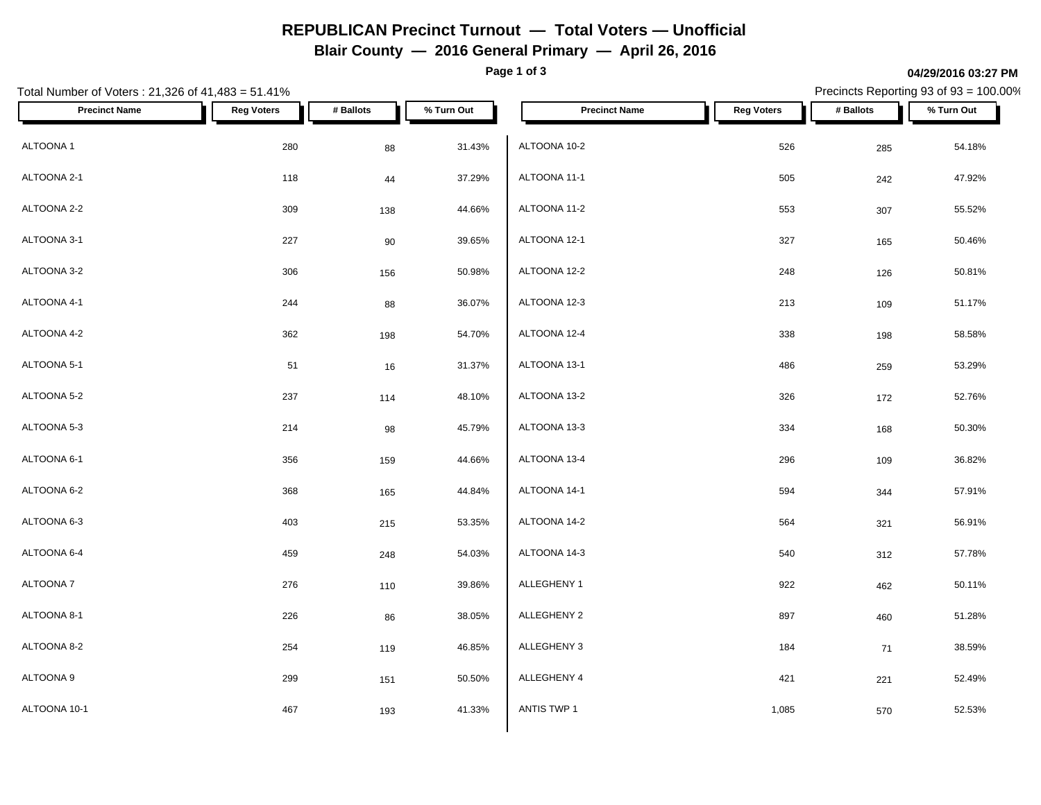# **REPUBLICAN Precinct Turnout — Total Voters — Unofficial**

**Blair County — 2016 General Primary — April 26, 2016**

**Page 1 of 3**

#### **04/29/2016 03:27 PM**

Precincts Reporting 93 of 93 = 100.00%

| Total Number of Voters: 21,326 of 41,483 = 51.41% |                   | Precincts Reporting 93 of 93 = 100.00% |            |                      |                   |           |            |
|---------------------------------------------------|-------------------|----------------------------------------|------------|----------------------|-------------------|-----------|------------|
| <b>Precinct Name</b>                              | <b>Reg Voters</b> | # Ballots                              | % Turn Out | <b>Precinct Name</b> | <b>Reg Voters</b> | # Ballots | % Turn Out |
| ALTOONA 1                                         | 280               | 88                                     | 31.43%     | ALTOONA 10-2         | 526               | 285       | 54.18%     |
| ALTOONA 2-1                                       | 118               | 44                                     | 37.29%     | ALTOONA 11-1         | 505               | 242       | 47.92%     |
| ALTOONA 2-2                                       | 309               | 138                                    | 44.66%     | ALTOONA 11-2         | 553               | 307       | 55.52%     |
| ALTOONA 3-1                                       | 227               | 90                                     | 39.65%     | ALTOONA 12-1         | 327               | 165       | 50.46%     |
| ALTOONA 3-2                                       | 306               | 156                                    | 50.98%     | ALTOONA 12-2         | 248               | 126       | 50.81%     |
| ALTOONA 4-1                                       | 244               | 88                                     | 36.07%     | ALTOONA 12-3         | 213               | 109       | 51.17%     |
| ALTOONA 4-2                                       | 362               | 198                                    | 54.70%     | ALTOONA 12-4         | 338               | 198       | 58.58%     |
| ALTOONA 5-1                                       | 51                | 16                                     | 31.37%     | ALTOONA 13-1         | 486               | 259       | 53.29%     |
| ALTOONA 5-2                                       | 237               | 114                                    | 48.10%     | ALTOONA 13-2         | 326               | 172       | 52.76%     |
| ALTOONA 5-3                                       | 214               | 98                                     | 45.79%     | ALTOONA 13-3         | 334               | 168       | 50.30%     |
| ALTOONA 6-1                                       | 356               | 159                                    | 44.66%     | ALTOONA 13-4         | 296               | 109       | 36.82%     |
| ALTOONA 6-2                                       | 368               | 165                                    | 44.84%     | ALTOONA 14-1         | 594               | 344       | 57.91%     |
| ALTOONA 6-3                                       | 403               | 215                                    | 53.35%     | ALTOONA 14-2         | 564               | 321       | 56.91%     |
| ALTOONA 6-4                                       | 459               | 248                                    | 54.03%     | ALTOONA 14-3         | 540               | 312       | 57.78%     |
| ALTOONA 7                                         | 276               | 110                                    | 39.86%     | ALLEGHENY 1          | 922               | 462       | 50.11%     |
| ALTOONA 8-1                                       | 226               | 86                                     | 38.05%     | ALLEGHENY 2          | 897               | 460       | 51.28%     |
| ALTOONA 8-2                                       | 254               | 119                                    | 46.85%     | ALLEGHENY 3          | 184               | 71        | 38.59%     |
| ALTOONA 9                                         | 299               | 151                                    | 50.50%     | ALLEGHENY 4          | 421               | 221       | 52.49%     |
| ALTOONA 10-1                                      | 467               | 193                                    | 41.33%     | ANTIS TWP 1          | 1,085             | 570       | 52.53%     |
|                                                   |                   |                                        |            |                      |                   |           |            |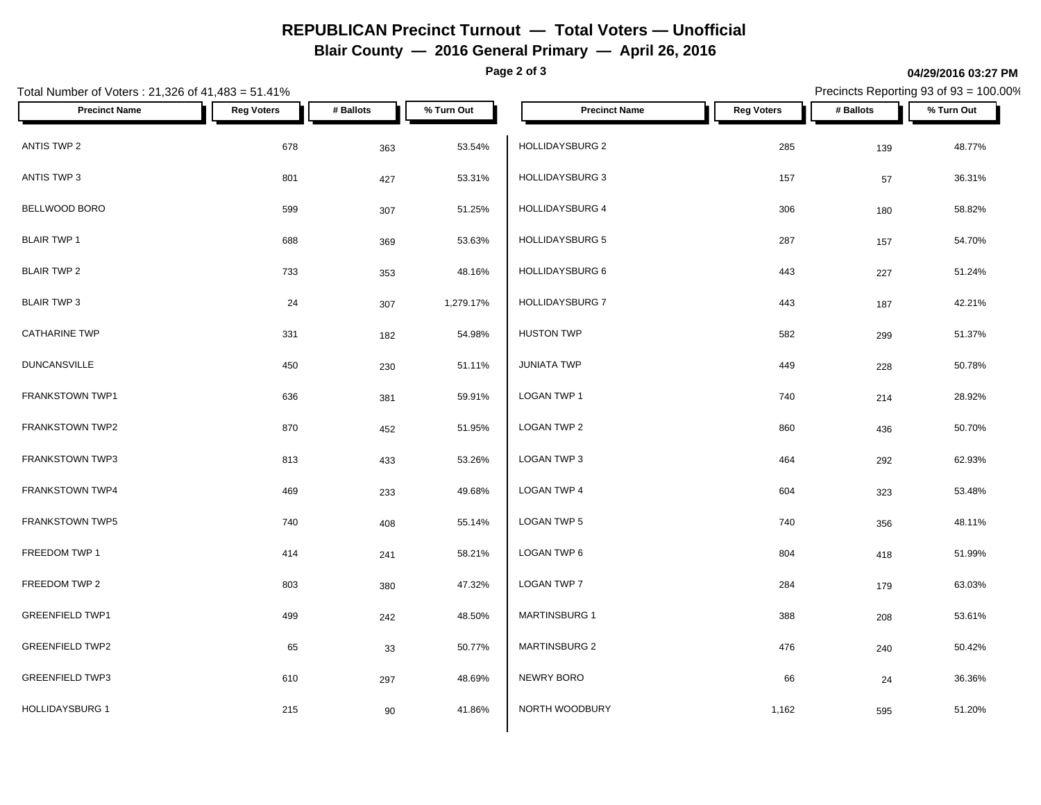# **REPUBLICAN Precinct Turnout — Total Voters — Unofficial**

**Blair County — 2016 General Primary — April 26, 2016**

**Page 2 of 3**

#### **04/29/2016 03:27 PM**

Precincts Reporting 93 of 93 = 100.00%

| Total Number of Voters: 21,326 of 41,483 = 51.41% |                   |           |            |                        | Precincts Reporting 93 of 93 = 100.00% |           |            |  |
|---------------------------------------------------|-------------------|-----------|------------|------------------------|----------------------------------------|-----------|------------|--|
| <b>Precinct Name</b>                              | <b>Reg Voters</b> | # Ballots | % Turn Out | <b>Precinct Name</b>   | <b>Reg Voters</b>                      | # Ballots | % Turn Out |  |
| ANTIS TWP 2                                       | 678               | 363       | 53.54%     | HOLLIDAYSBURG 2        | 285                                    | 139       | 48.77%     |  |
| ANTIS TWP 3                                       | 801               | 427       | 53.31%     | <b>HOLLIDAYSBURG 3</b> | 157                                    | 57        | 36.31%     |  |
| BELLWOOD BORO                                     | 599               | 307       | 51.25%     | <b>HOLLIDAYSBURG 4</b> | 306                                    | 180       | 58.82%     |  |
| <b>BLAIR TWP 1</b>                                | 688               | 369       | 53.63%     | <b>HOLLIDAYSBURG 5</b> | 287                                    | 157       | 54.70%     |  |
| <b>BLAIR TWP 2</b>                                | 733               | 353       | 48.16%     | HOLLIDAYSBURG 6        | 443                                    | 227       | 51.24%     |  |
| <b>BLAIR TWP 3</b>                                | 24                | 307       | 1,279.17%  | <b>HOLLIDAYSBURG 7</b> | 443                                    | 187       | 42.21%     |  |
| <b>CATHARINE TWP</b>                              | 331               | 182       | 54.98%     | <b>HUSTON TWP</b>      | 582                                    | 299       | 51.37%     |  |
| <b>DUNCANSVILLE</b>                               | 450               | 230       | 51.11%     | <b>JUNIATA TWP</b>     | 449                                    | 228       | 50.78%     |  |
| FRANKSTOWN TWP1                                   | 636               | 381       | 59.91%     | LOGAN TWP 1            | 740                                    | 214       | 28.92%     |  |
| FRANKSTOWN TWP2                                   | 870               | 452       | 51.95%     | LOGAN TWP 2            | 860                                    | 436       | 50.70%     |  |
| <b>FRANKSTOWN TWP3</b>                            | 813               | 433       | 53.26%     | LOGAN TWP 3            | 464                                    | 292       | 62.93%     |  |
| FRANKSTOWN TWP4                                   | 469               | 233       | 49.68%     | <b>LOGAN TWP 4</b>     | 604                                    | 323       | 53.48%     |  |
| FRANKSTOWN TWP5                                   | 740               | 408       | 55.14%     | LOGAN TWP 5            | 740                                    | 356       | 48.11%     |  |
| FREEDOM TWP 1                                     | 414               | 241       | 58.21%     | LOGAN TWP 6            | 804                                    | 418       | 51.99%     |  |
| FREEDOM TWP 2                                     | 803               | 380       | 47.32%     | <b>LOGAN TWP 7</b>     | 284                                    | 179       | 63.03%     |  |
| <b>GREENFIELD TWP1</b>                            | 499               | 242       | 48.50%     | <b>MARTINSBURG 1</b>   | 388                                    | 208       | 53.61%     |  |
| <b>GREENFIELD TWP2</b>                            | 65                | 33        | 50.77%     | MARTINSBURG 2          | 476                                    | 240       | 50.42%     |  |
| <b>GREENFIELD TWP3</b>                            | 610               | 297       | 48.69%     | NEWRY BORO             | 66                                     | 24        | 36.36%     |  |
| <b>HOLLIDAYSBURG 1</b>                            | 215               | 90        | 41.86%     | NORTH WOODBURY         | 1,162                                  | 595       | 51.20%     |  |
|                                                   |                   |           |            |                        |                                        |           |            |  |